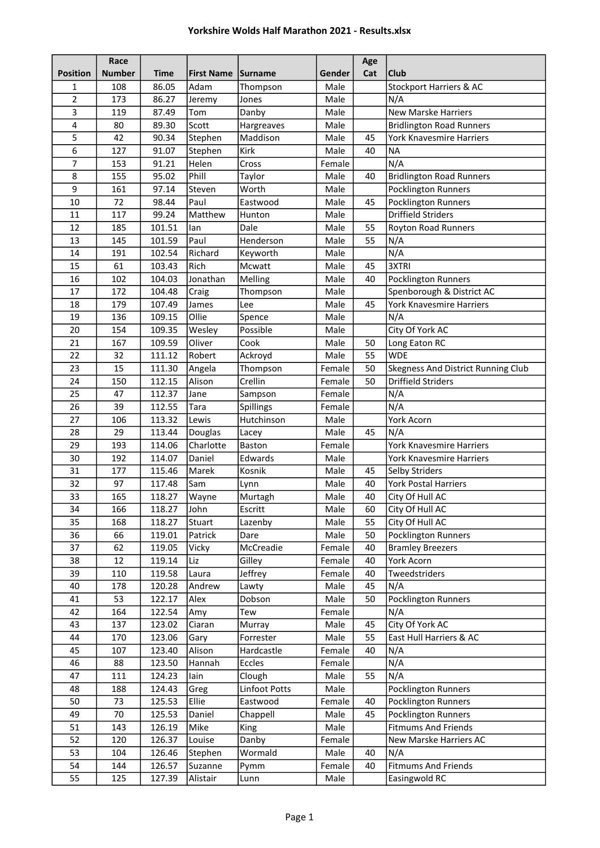|                 | Race          |             |                    |               |        | Age |                                    |
|-----------------|---------------|-------------|--------------------|---------------|--------|-----|------------------------------------|
| <b>Position</b> | <b>Number</b> | <b>Time</b> | First Name Surname |               | Gender | Cat | <b>Club</b>                        |
| 1               | 108           | 86.05       | Adam               | Thompson      | Male   |     | <b>Stockport Harriers &amp; AC</b> |
| 2               | 173           | 86.27       | Jeremy             | Jones         | Male   |     | N/A                                |
| 3               | 119           | 87.49       | Tom                | Danby         | Male   |     | <b>New Marske Harriers</b>         |
| 4               | 80            | 89.30       | Scott              | Hargreaves    | Male   |     | <b>Bridlington Road Runners</b>    |
| 5               | 42            | 90.34       | Stephen            | Maddison      | Male   | 45  | York Knavesmire Harriers           |
| 6               | 127           | 91.07       | Stephen            | Kirk          | Male   | 40  | <b>NA</b>                          |
| 7               | 153           | 91.21       | Helen              | Cross         | Female |     | N/A                                |
| 8               | 155           | 95.02       | Phill              | Taylor        | Male   | 40  | <b>Bridlington Road Runners</b>    |
| 9               | 161           | 97.14       | Steven             | Worth         | Male   |     | Pocklington Runners                |
| 10              | 72            | 98.44       | Paul               | Eastwood      | Male   | 45  | Pocklington Runners                |
| 11              | 117           | 99.24       | Matthew            | Hunton        | Male   |     | <b>Driffield Striders</b>          |
| 12              | 185           | 101.51      | lan                | Dale          | Male   | 55  | <b>Royton Road Runners</b>         |
| 13              | 145           | 101.59      | Paul               | Henderson     | Male   | 55  | N/A                                |
| 14              | 191           | 102.54      | Richard            | Keyworth      | Male   |     | N/A                                |
| 15              | 61            | 103.43      | Rich               | Mcwatt        | Male   | 45  | 3XTRI                              |
| 16              | 102           | 104.03      | Jonathan           | Melling       | Male   | 40  | <b>Pocklington Runners</b>         |
| 17              | 172           | 104.48      | Craig              | Thompson      | Male   |     | Spenborough & District AC          |
| 18              | 179           | 107.49      | James              | Lee           | Male   | 45  | York Knavesmire Harriers           |
| 19              | 136           | 109.15      | Ollie              | Spence        | Male   |     | N/A                                |
| 20              | 154           | 109.35      | Wesley             | Possible      | Male   |     | City Of York AC                    |
| 21              | 167           | 109.59      | Oliver             | Cook          | Male   | 50  | Long Eaton RC                      |
| 22              | 32            | 111.12      | Robert             | Ackroyd       | Male   | 55  | <b>WDE</b>                         |
| 23              | 15            | 111.30      | Angela             | Thompson      | Female | 50  | Skegness And District Running Club |
| 24              | 150           | 112.15      | Alison             | Crellin       | Female | 50  | <b>Driffield Striders</b>          |
| 25              | 47            | 112.37      | Jane               | Sampson       | Female |     | N/A                                |
| 26              | 39            | 112.55      | Tara               | Spillings     | Female |     | N/A                                |
| 27              | 106           | 113.32      | Lewis              | Hutchinson    | Male   |     | York Acorn                         |
| 28              | 29            | 113.44      | Douglas            | Lacey         | Male   | 45  | N/A                                |
| 29              | 193           | 114.06      | Charlotte          | Baston        | Female |     | <b>York Knavesmire Harriers</b>    |
| 30              | 192           | 114.07      | Daniel             | Edwards       | Male   |     | York Knavesmire Harriers           |
| 31              | 177           | 115.46      | Marek              | Kosnik        | Male   | 45  | Selby Striders                     |
| 32              | 97            | 117.48      | Sam                | Lynn          | Male   | 40  | <b>York Postal Harriers</b>        |
| 33              | 165           | 118.27      | Wayne              | Murtagh       | Male   | 40  | City Of Hull AC                    |
| 34              | 166           | 118.27      | John               | Escritt       | Male   | 60  | City Of Hull AC                    |
| 35              | 168           | 118.27      | Stuart             | Lazenby       | Male   | 55  | City Of Hull AC                    |
| 36              | 66            | 119.01      | Patrick            | Dare          | Male   | 50  | Pocklington Runners                |
| 37              | 62            | 119.05      | Vicky              | McCreadie     | Female | 40  | <b>Bramley Breezers</b>            |
| 38              | 12            | 119.14      | Liz                | Gilley        | Female | 40  | York Acorn                         |
| 39              | 110           | 119.58      | Laura              | Jeffrey       | Female | 40  | Tweedstriders                      |
| 40              | 178           | 120.28      | Andrew             | Lawty         | Male   | 45  | N/A                                |
| 41              | 53            | 122.17      | Alex               | Dobson        | Male   | 50  | Pocklington Runners                |
| 42              | 164           | 122.54      | Amy                | Tew           | Female |     | N/A                                |
| 43              | 137           | 123.02      | Ciaran             | Murray        | Male   | 45  | City Of York AC                    |
| 44              | 170           | 123.06      | Gary               | Forrester     | Male   | 55  | East Hull Harriers & AC            |
| 45              | 107           | 123.40      | Alison             | Hardcastle    | Female | 40  | N/A                                |
| 46              | 88            | 123.50      | Hannah             | Eccles        | Female |     | N/A                                |
| 47              | 111           | 124.23      | lain               | Clough        | Male   | 55  | N/A                                |
| 48              | 188           | 124.43      | Greg               | Linfoot Potts | Male   |     | Pocklington Runners                |
| 50              | 73            | 125.53      | Ellie              | Eastwood      | Female | 40  | Pocklington Runners                |
| 49              | 70            | 125.53      | Daniel             | Chappell      | Male   | 45  | <b>Pocklington Runners</b>         |
| 51              | 143           | 126.19      | Mike               | King          | Male   |     | <b>Fitmums And Friends</b>         |
| 52              | 120           | 126.37      | Louise             | Danby         | Female |     | New Marske Harriers AC             |
| 53              | 104           | 126.46      | Stephen            | Wormald       | Male   | 40  | N/A                                |
| 54              | 144           | 126.57      | Suzanne            | Pymm          | Female | 40  | <b>Fitmums And Friends</b>         |
| 55              | 125           | 127.39      | Alistair           | Lunn          | Male   |     | Easingwold RC                      |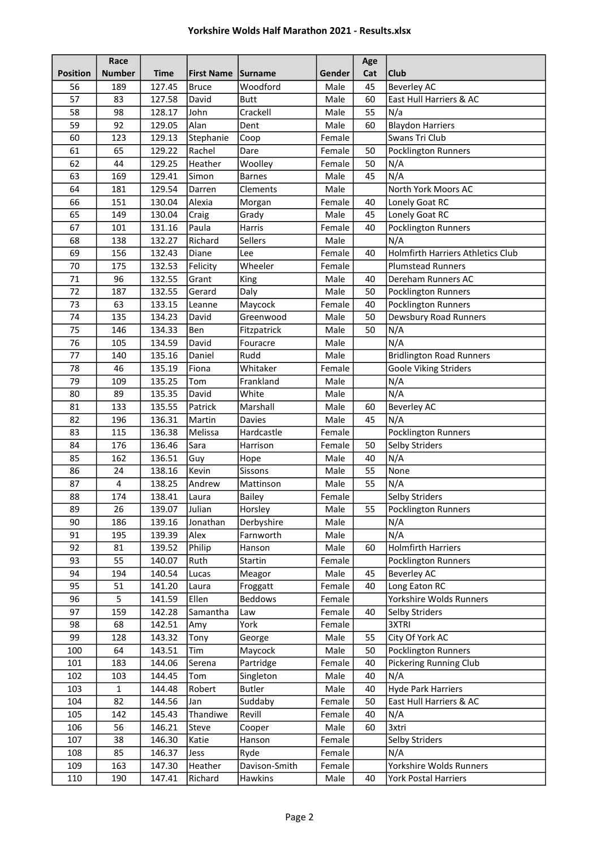|                 | Race          |             |                   |                |        | Age |                                          |
|-----------------|---------------|-------------|-------------------|----------------|--------|-----|------------------------------------------|
| <b>Position</b> | <b>Number</b> | <b>Time</b> | <b>First Name</b> | <b>Surname</b> | Gender | Cat | <b>Club</b>                              |
| 56              | 189           | 127.45      | <b>Bruce</b>      | Woodford       | Male   | 45  | Beverley AC                              |
| 57              | 83            | 127.58      | David             | <b>Butt</b>    | Male   | 60  | East Hull Harriers & AC                  |
| 58              | 98            | 128.17      | John              | Crackell       | Male   | 55  | N/a                                      |
| 59              | 92            | 129.05      | Alan              | Dent           | Male   | 60  | <b>Blaydon Harriers</b>                  |
| 60              | 123           | 129.13      | Stephanie         | Coop           | Female |     | Swans Tri Club                           |
| 61              | 65            | 129.22      | Rachel            | Dare           | Female | 50  | Pocklington Runners                      |
| 62              | 44            | 129.25      | Heather           | Woolley        | Female | 50  | N/A                                      |
| 63              | 169           | 129.41      | Simon             | <b>Barnes</b>  | Male   | 45  | N/A                                      |
| 64              | 181           | 129.54      | Darren            | Clements       | Male   |     | North York Moors AC                      |
| 66              | 151           | 130.04      | Alexia            | Morgan         | Female | 40  | Lonely Goat RC                           |
| 65              | 149           | 130.04      | Craig             | Grady          | Male   | 45  | Lonely Goat RC                           |
| 67              | 101           | 131.16      | Paula             | Harris         | Female | 40  | Pocklington Runners                      |
| 68              | 138           | 132.27      | Richard           | Sellers        | Male   |     | N/A                                      |
| 69              | 156           | 132.43      | Diane             | Lee            | Female | 40  | <b>Holmfirth Harriers Athletics Club</b> |
| 70              | 175           | 132.53      | Felicity          | Wheeler        | Female |     | <b>Plumstead Runners</b>                 |
| 71              | 96            | 132.55      | Grant             | King           | Male   | 40  | Dereham Runners AC                       |
| 72              | 187           | 132.55      | Gerard            | Daly           | Male   | 50  | Pocklington Runners                      |
| 73              | 63            | 133.15      | Leanne            | Maycock        | Female | 40  | Pocklington Runners                      |
| 74              | 135           | 134.23      | David             | Greenwood      | Male   | 50  | Dewsbury Road Runners                    |
| 75              | 146           | 134.33      | Ben               | Fitzpatrick    | Male   | 50  | N/A                                      |
| 76              | 105           | 134.59      | David             | Fouracre       | Male   |     | N/A                                      |
| 77              | 140           | 135.16      | Daniel            | Rudd           | Male   |     | <b>Bridlington Road Runners</b>          |
| 78              | 46            | 135.19      | Fiona             | Whitaker       | Female |     | <b>Goole Viking Striders</b>             |
| 79              | 109           | 135.25      | Tom               | Frankland      | Male   |     | N/A                                      |
| 80              | 89            | 135.35      | David             | White          | Male   |     | N/A                                      |
| 81              | 133           | 135.55      | Patrick           | Marshall       | Male   | 60  | <b>Beverley AC</b>                       |
| 82              | 196           | 136.31      | Martin            | <b>Davies</b>  | Male   | 45  | N/A                                      |
| 83              | 115           | 136.38      | Melissa           | Hardcastle     | Female |     | Pocklington Runners                      |
| 84              | 176           | 136.46      | Sara              | Harrison       | Female | 50  | <b>Selby Striders</b>                    |
| 85              | 162           | 136.51      | Guy               | Hope           | Male   | 40  | N/A                                      |
| 86              | 24            | 138.16      | Kevin             | Sissons        | Male   | 55  | None                                     |
| 87              | 4             | 138.25      | Andrew            | Mattinson      | Male   | 55  | N/A                                      |
| 88              | 174           | 138.41      | Laura             | Bailey         | Female |     | <b>Selby Striders</b>                    |
| 89              | 26            | 139.07      | Julian            | Horsley        | Male   | 55  | Pocklington Runners                      |
| 90              | 186           | 139.16      | Jonathan          | Derbyshire     | Male   |     | N/A                                      |
| 91              | 195           | 139.39      | Alex              | Farnworth      | Male   |     | N/A                                      |
| 92              | 81            | 139.52      | Philip            | Hanson         | Male   | 60  | <b>Holmfirth Harriers</b>                |
| 93              | 55            | 140.07      | Ruth              | Startin        | Female |     | Pocklington Runners                      |
| 94              | 194           | 140.54      | Lucas             | Meagor         | Male   | 45  | <b>Beverley AC</b>                       |
| 95              | 51            | 141.20      | Laura             | Froggatt       | Female | 40  | Long Eaton RC                            |
| 96              | 5             | 141.59      | Ellen             | <b>Beddows</b> | Female |     | Yorkshire Wolds Runners                  |
| 97              | 159           | 142.28      | Samantha          | Law            | Female | 40  | <b>Selby Striders</b>                    |
| 98              | 68            | 142.51      | Amy               | York           | Female |     | 3XTRI                                    |
| 99              | 128           | 143.32      | Tony              | George         | Male   | 55  | City Of York AC                          |
| 100             | 64            | 143.51      | Tim               | Maycock        | Male   | 50  | Pocklington Runners                      |
| 101             | 183           | 144.06      | Serena            | Partridge      | Female | 40  | <b>Pickering Running Club</b>            |
| 102             | 103           | 144.45      | Tom               | Singleton      | Male   | 40  | N/A                                      |
| 103             | 1             | 144.48      | Robert            | <b>Butler</b>  | Male   | 40  | <b>Hyde Park Harriers</b>                |
| 104             | 82            | 144.56      | Jan               | Suddaby        | Female | 50  | East Hull Harriers & AC                  |
| 105             | 142           | 145.43      | Thandiwe          | Revill         | Female | 40  | N/A                                      |
| 106             | 56            | 146.21      | Steve             | Cooper         | Male   | 60  | 3xtri                                    |
| 107             | 38            | 146.30      | Katie             | Hanson         | Female |     | Selby Striders                           |
| 108             | 85            | 146.37      | Jess              | Ryde           | Female |     | N/A                                      |
| 109             | 163           | 147.30      | Heather           | Davison-Smith  | Female |     | Yorkshire Wolds Runners                  |
| 110             | 190           | 147.41      | Richard           | <b>Hawkins</b> | Male   | 40  | <b>York Postal Harriers</b>              |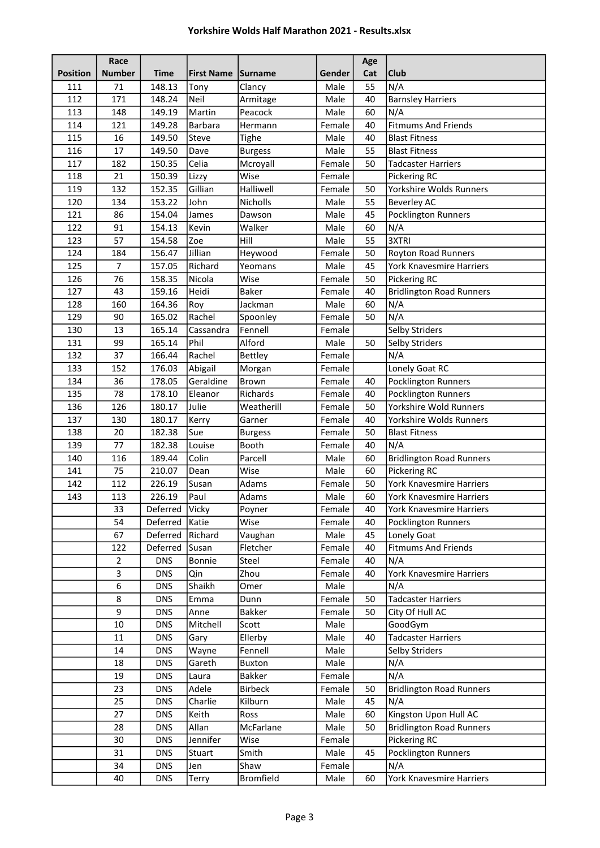|                 | Race             |                  |                    |                        |                  | Age      |                                               |
|-----------------|------------------|------------------|--------------------|------------------------|------------------|----------|-----------------------------------------------|
| <b>Position</b> | <b>Number</b>    | <b>Time</b>      | First Name Surname |                        | Gender           | Cat      | <b>Club</b>                                   |
| 111             | 71               | 148.13           | Tony               | Clancy                 | Male             | 55       | N/A                                           |
| 112             | 171              | 148.24           | Neil               | Armitage               | Male             | 40       | <b>Barnsley Harriers</b>                      |
| 113             | 148              | 149.19           | Martin             | Peacock                | Male             | 60       | N/A                                           |
| 114             | 121              | 149.28           | Barbara            | Hermann                | Female           | 40       | <b>Fitmums And Friends</b>                    |
| 115             | 16               | 149.50           | Steve              | <b>Tighe</b>           | Male             | 40       | <b>Blast Fitness</b>                          |
| 116             | 17               | 149.50           | Dave               | <b>Burgess</b>         | Male             | 55       | <b>Blast Fitness</b>                          |
| 117             | 182              | 150.35           | Celia              | Mcroyall               | Female           | 50       | <b>Tadcaster Harriers</b>                     |
| 118             | 21               | 150.39           | Lizzy              | Wise                   | Female           |          | Pickering RC                                  |
| 119             | 132              | 152.35           | Gillian            | Halliwell              | Female           | 50       | Yorkshire Wolds Runners                       |
| 120             | 134              | 153.22           | John               | Nicholls               | Male             | 55       | <b>Beverley AC</b>                            |
| 121             | 86               | 154.04           | James              | Dawson                 | Male             | 45       | Pocklington Runners                           |
| 122             | 91               | 154.13           | Kevin              | Walker                 | Male             | 60       | N/A                                           |
| 123             | 57               | 154.58           | Zoe                | Hill                   | Male             | 55       | 3XTRI                                         |
| 124             | 184              | 156.47           | Jillian            | Heywood                | Female           | 50       | <b>Royton Road Runners</b>                    |
| 125             | $\overline{7}$   | 157.05           | Richard            | Yeomans                | Male             | 45       | York Knavesmire Harriers                      |
| 126             | 76               | 158.35           | Nicola             | Wise                   | Female           | 50       | Pickering RC                                  |
| 127             | 43               | 159.16           | Heidi              | <b>Baker</b>           | Female           | 40       | <b>Bridlington Road Runners</b>               |
| 128             | 160              | 164.36           | Roy                | Jackman                | Male             | 60       | N/A                                           |
| 129             | 90               | 165.02           | Rachel             | Spoonley               | Female           | 50       | N/A                                           |
| 130             | 13               | 165.14           | Cassandra          | Fennell                | Female           |          | <b>Selby Striders</b>                         |
| 131             | 99               | 165.14           | Phil               | Alford                 | Male             | 50       | <b>Selby Striders</b>                         |
| 132             | 37               | 166.44           | Rachel             | Bettley                | Female           |          | N/A                                           |
| 133             | 152              | 176.03           | Abigail            | Morgan                 | Female           |          | Lonely Goat RC                                |
| 134<br>135      | 36               | 178.05<br>178.10 | Geraldine          | Brown                  | Female           | 40       | Pocklington Runners                           |
| 136             | 78<br>126        |                  | Eleanor<br>Julie   | Richards<br>Weatherill | Female           | 40<br>50 | Pocklington Runners<br>Yorkshire Wold Runners |
| 137             | 130              | 180.17<br>180.17 | Kerry              | Garner                 | Female<br>Female | 40       | Yorkshire Wolds Runners                       |
| 138             | 20               | 182.38           | Sue                | <b>Burgess</b>         | Female           | 50       | <b>Blast Fitness</b>                          |
| 139             | 77               | 182.38           | Louise             | Booth                  | Female           | 40       | N/A                                           |
| 140             | 116              | 189.44           | Colin              | Parcell                | Male             | 60       | <b>Bridlington Road Runners</b>               |
| 141             | 75               | 210.07           | Dean               | Wise                   | Male             | 60       | Pickering RC                                  |
| 142             | 112              | 226.19           | Susan              | Adams                  | Female           | 50       | <b>York Knavesmire Harriers</b>               |
| 143             | 113              | 226.19           | Paul               | Adams                  | Male             | 60       | <b>York Knavesmire Harriers</b>               |
|                 | 33               | Deferred   Vicky |                    | Poyner                 | Female           | 40       | York Knavesmire Harriers                      |
|                 | 54               | Deferred         | Katie              | Wise                   | Female           | 40       | Pocklington Runners                           |
|                 | 67               | Deferred         | Richard            | Vaughan                | Male             | 45       | Lonely Goat                                   |
|                 | 122              | Deferred         | Susan              | Fletcher               | Female           | 40       | <b>Fitmums And Friends</b>                    |
|                 | 2                | <b>DNS</b>       | Bonnie             | Steel                  | Female           | 40       | N/A                                           |
|                 | 3                | <b>DNS</b>       | Qin                | Zhou                   | Female           | 40       | York Knavesmire Harriers                      |
|                 | $\boldsymbol{6}$ | <b>DNS</b>       | Shaikh             | Omer                   | Male             |          | N/A                                           |
|                 | 8                | <b>DNS</b>       | Emma               | Dunn                   | Female           | 50       | <b>Tadcaster Harriers</b>                     |
|                 | 9                | <b>DNS</b>       | Anne               | <b>Bakker</b>          | Female           | 50       | City Of Hull AC                               |
|                 | 10               | <b>DNS</b>       | Mitchell           | Scott                  | Male             |          | GoodGym                                       |
|                 | 11               | <b>DNS</b>       | Gary               | Ellerby                | Male             | 40       | <b>Tadcaster Harriers</b>                     |
|                 | 14               | <b>DNS</b>       | Wayne              | Fennell                | Male             |          | Selby Striders                                |
|                 | 18               | <b>DNS</b>       | Gareth             | <b>Buxton</b>          | Male             |          | N/A                                           |
|                 | 19               | <b>DNS</b>       | Laura              | <b>Bakker</b>          | Female           |          | N/A                                           |
|                 | 23               | <b>DNS</b>       | Adele              | <b>Birbeck</b>         | Female           | 50       | <b>Bridlington Road Runners</b>               |
|                 | 25               | <b>DNS</b>       | Charlie            | Kilburn                | Male             | 45       | N/A                                           |
|                 | 27               | <b>DNS</b>       | Keith              | Ross                   | Male             | 60       | Kingston Upon Hull AC                         |
|                 | 28               | <b>DNS</b>       | Allan              | McFarlane              | Male             | 50       | <b>Bridlington Road Runners</b>               |
|                 | 30               | <b>DNS</b>       | Jennifer           | Wise                   | Female           |          | Pickering RC                                  |
|                 | 31               | <b>DNS</b>       | Stuart             | Smith                  | Male             | 45       | Pocklington Runners                           |
|                 | 34               | <b>DNS</b>       | Jen                | Shaw                   | Female           |          | N/A                                           |
|                 | 40               | <b>DNS</b>       | Terry              | <b>Bromfield</b>       | Male             | 60       | York Knavesmire Harriers                      |